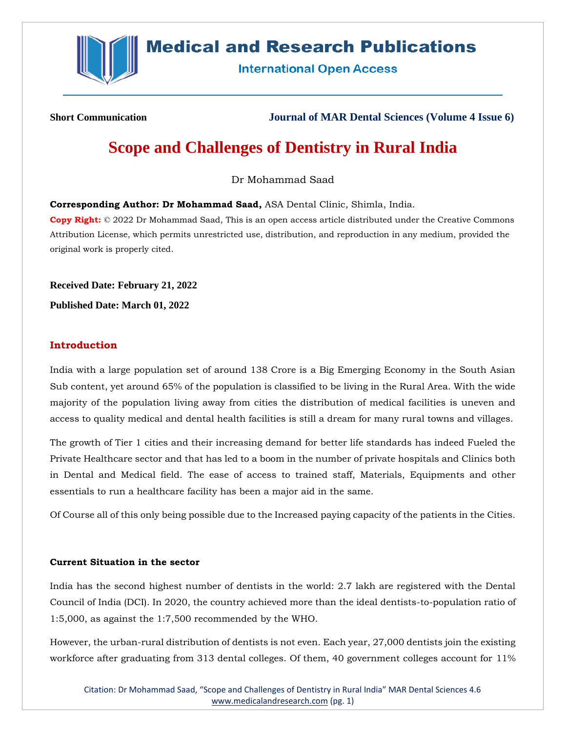

# **Medical and Research Publications**

**International Open Access** 

**Short Communication Journal of MAR Dental Sciences (Volume 4 Issue 6)**

# **Scope and Challenges of Dentistry in Rural India**

Dr Mohammad Saad

**Corresponding Author: Dr Mohammad Saad,** ASA Dental Clinic, Shimla, India.

**Copy Right:** © 2022 Dr Mohammad Saad, This is an open access article distributed under the Creative Commons Attribution License, which permits unrestricted use, distribution, and reproduction in any medium, provided the original work is properly cited.

**Received Date: February 21, 2022 Published Date: March 01, 2022**

## **Introduction**

India with a large population set of around 138 Crore is a Big Emerging Economy in the South Asian Sub content, yet around 65% of the population is classified to be living in the Rural Area. With the wide majority of the population living away from cities the distribution of medical facilities is uneven and access to quality medical and dental health facilities is still a dream for many rural towns and villages.

The growth of Tier 1 cities and their increasing demand for better life standards has indeed Fueled the Private Healthcare sector and that has led to a boom in the number of private hospitals and Clinics both in Dental and Medical field. The ease of access to trained staff, Materials, Equipments and other essentials to run a healthcare facility has been a major aid in the same.

Of Course all of this only being possible due to the Increased paying capacity of the patients in the Cities.

#### **Current Situation in the sector**

India has the second highest number of dentists in the world: 2.7 lakh are registered with the Dental Council of India (DCI). In 2020, the country achieved more than the ideal dentists-to-population ratio of 1:5,000, as against the 1:7,500 recommended by the WHO.

However, the urban-rural distribution of dentists is not even. Each year, 27,000 dentists join the existing workforce after graduating from 313 dental colleges. Of them, 40 government colleges account for 11%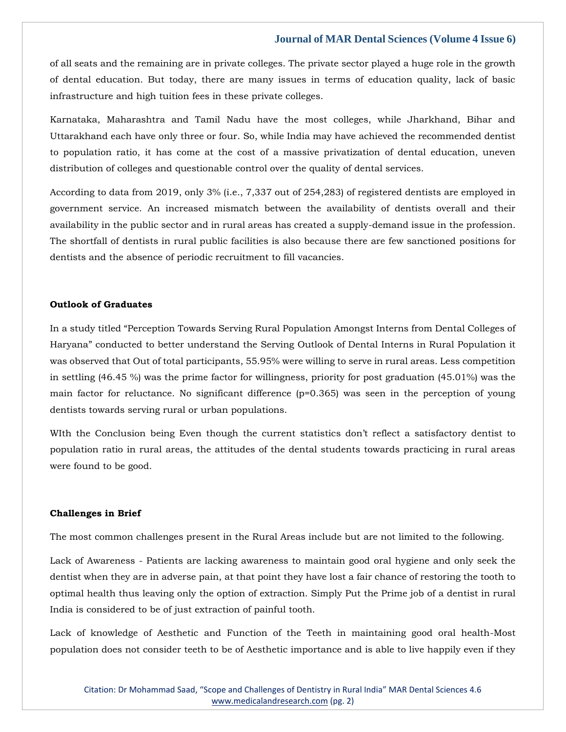### **Journal of MAR Dental Sciences (Volume 4 Issue 6)**

of all seats and the remaining are in private colleges. The private sector played a huge role in the growth of dental education. But today, there are many issues in terms of education quality, lack of basic infrastructure and high tuition fees in these private colleges.

Karnataka, Maharashtra and Tamil Nadu have the most colleges, while Jharkhand, Bihar and Uttarakhand each have only three or four. So, while India may have achieved the recommended dentist to population ratio, it has come at the cost of a massive privatization of dental education, uneven distribution of colleges and questionable control over the quality of dental services.

According to data from 2019, only 3% (i.e., 7,337 out of 254,283) of registered dentists are employed in government service. An increased mismatch between the availability of dentists overall and their availability in the public sector and in rural areas has created a supply-demand issue in the profession. The shortfall of dentists in rural public facilities is also because there are few sanctioned positions for dentists and the absence of periodic recruitment to fill vacancies.

#### **Outlook of Graduates**

In a study titled "Perception Towards Serving Rural Population Amongst Interns from Dental Colleges of Haryana" conducted to better understand the Serving Outlook of Dental Interns in Rural Population it was observed that Out of total participants, 55.95% were willing to serve in rural areas. Less competition in settling (46.45 %) was the prime factor for willingness, priority for post graduation (45.01%) was the main factor for reluctance. No significant difference (p=0.365) was seen in the perception of young dentists towards serving rural or urban populations.

WIth the Conclusion being Even though the current statistics don't reflect a satisfactory dentist to population ratio in rural areas, the attitudes of the dental students towards practicing in rural areas were found to be good.

#### **Challenges in Brief**

The most common challenges present in the Rural Areas include but are not limited to the following.

Lack of Awareness - Patients are lacking awareness to maintain good oral hygiene and only seek the dentist when they are in adverse pain, at that point they have lost a fair chance of restoring the tooth to optimal health thus leaving only the option of extraction. Simply Put the Prime job of a dentist in rural India is considered to be of just extraction of painful tooth.

Lack of knowledge of Aesthetic and Function of the Teeth in maintaining good oral health-Most population does not consider teeth to be of Aesthetic importance and is able to live happily even if they